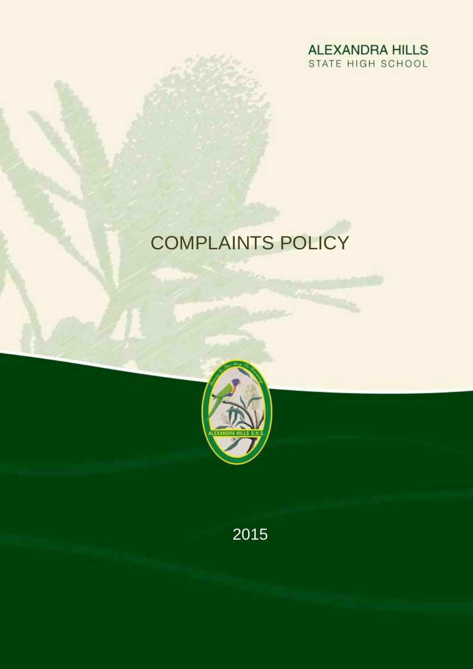

# COMPLAINTS POLICY



2015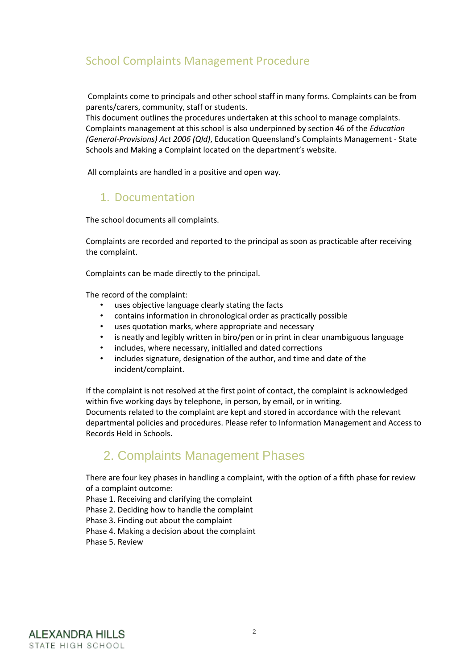## School Complaints Management Procedure

Complaints come to principals and other school staff in many forms. Complaints can be from parents/carers, community, staff or students.

This document outlines the procedures undertaken at this school to manage complaints. Complaints management at this school is also underpinned by section 46 of the *Education (General-Provisions) Act 2006 (Qld)*, Education Queensland's Complaints Management - State Schools and Making a Complaint located on the department's website.

All complaints are handled in a positive and open way.

### 1. Documentation

The school documents all complaints.

Complaints are recorded and reported to the principal as soon as practicable after receiving the complaint.

Complaints can be made directly to the principal.

The record of the complaint:

- uses objective language clearly stating the facts
- contains information in chronological order as practically possible
- uses quotation marks, where appropriate and necessary
- is neatly and legibly written in biro/pen or in print in clear unambiguous language
- includes, where necessary, initialled and dated corrections
- includes signature, designation of the author, and time and date of the incident/complaint.

If the complaint is not resolved at the first point of contact, the complaint is acknowledged within five working days by telephone, in person, by email, or in writing. Documents related to the complaint are kept and stored in accordance with the relevant departmental policies and procedures. Please refer to Information Management and Access to Records Held in Schools.

# 2. Complaints Management Phases

There are four key phases in handling a complaint, with the option of a fifth phase for review of a complaint outcome:

Phase 1. Receiving and clarifying the complaint

Phase 2. Deciding how to handle the complaint

Phase 3. Finding out about the complaint

Phase 4. Making a decision about the complaint

Phase 5. Review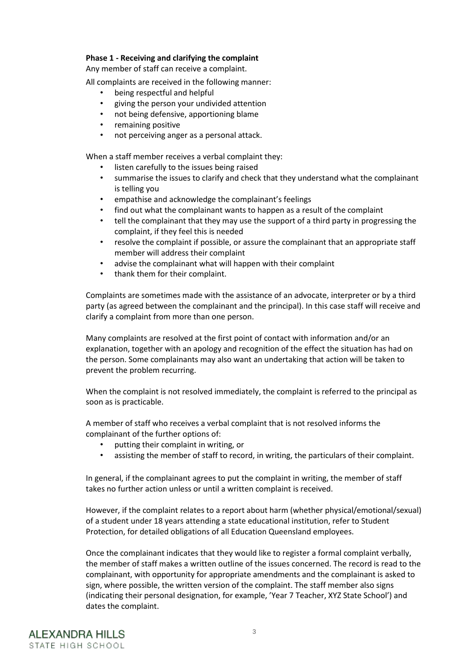#### **Phase 1 - Receiving and clarifying the complaint**

Any member of staff can receive a complaint.

All complaints are received in the following manner:

- being respectful and helpful
- giving the person your undivided attention
- not being defensive, apportioning blame
- remaining positive
- not perceiving anger as a personal attack.

When a staff member receives a verbal complaint they:

- listen carefully to the issues being raised
- summarise the issues to clarify and check that they understand what the complainant is telling you
- empathise and acknowledge the complainant's feelings
- find out what the complainant wants to happen as a result of the complaint
- tell the complainant that they may use the support of a third party in progressing the complaint, if they feel this is needed
- resolve the complaint if possible, or assure the complainant that an appropriate staff member will address their complaint
- advise the complainant what will happen with their complaint
- thank them for their complaint.

Complaints are sometimes made with the assistance of an advocate, interpreter or by a third party (as agreed between the complainant and the principal). In this case staff will receive and clarify a complaint from more than one person.

Many complaints are resolved at the first point of contact with information and/or an explanation, together with an apology and recognition of the effect the situation has had on the person. Some complainants may also want an undertaking that action will be taken to prevent the problem recurring.

When the complaint is not resolved immediately, the complaint is referred to the principal as soon as is practicable.

A member of staff who receives a verbal complaint that is not resolved informs the complainant of the further options of:

- putting their complaint in writing, or
- assisting the member of staff to record, in writing, the particulars of their complaint.

In general, if the complainant agrees to put the complaint in writing, the member of staff takes no further action unless or until a written complaint is received.

However, if the complaint relates to a report about harm (whether physical/emotional/sexual) of a student under 18 years attending a state educational institution, refer to Student Protection, for detailed obligations of all Education Queensland employees.

Once the complainant indicates that they would like to register a formal complaint verbally, the member of staff makes a written outline of the issues concerned. The record is read to the complainant, with opportunity for appropriate amendments and the complainant is asked to sign, where possible, the written version of the complaint. The staff member also signs (indicating their personal designation, for example, 'Year 7 Teacher, XYZ State School') and dates the complaint.

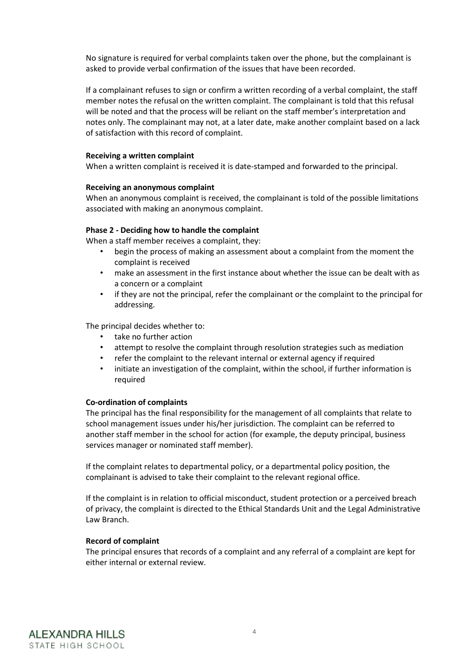No signature is required for verbal complaints taken over the phone, but the complainant is asked to provide verbal confirmation of the issues that have been recorded.

If a complainant refuses to sign or confirm a written recording of a verbal complaint, the staff member notes the refusal on the written complaint. The complainant is told that this refusal will be noted and that the process will be reliant on the staff member's interpretation and notes only. The complainant may not, at a later date, make another complaint based on a lack of satisfaction with this record of complaint.

#### **Receiving a written complaint**

When a written complaint is received it is date-stamped and forwarded to the principal.

#### **Receiving an anonymous complaint**

When an anonymous complaint is received, the complainant is told of the possible limitations associated with making an anonymous complaint.

#### **Phase 2 - Deciding how to handle the complaint**

When a staff member receives a complaint, they:

- begin the process of making an assessment about a complaint from the moment the complaint is received
- make an assessment in the first instance about whether the issue can be dealt with as a concern or a complaint
- if they are not the principal, refer the complainant or the complaint to the principal for addressing.

The principal decides whether to:

- take no further action
- attempt to resolve the complaint through resolution strategies such as mediation
- refer the complaint to the relevant internal or external agency if required
- initiate an investigation of the complaint, within the school, if further information is required

#### **Co-ordination of complaints**

The principal has the final responsibility for the management of all complaints that relate to school management issues under his/her jurisdiction. The complaint can be referred to another staff member in the school for action (for example, the deputy principal, business services manager or nominated staff member).

If the complaint relates to departmental policy, or a departmental policy position, the complainant is advised to take their complaint to the relevant regional office.

If the complaint is in relation to official misconduct, student protection or a perceived breach of privacy, the complaint is directed to the Ethical Standards Unit and the Legal Administrative Law Branch.

#### **Record of complaint**

The principal ensures that records of a complaint and any referral of a complaint are kept for either internal or external review.